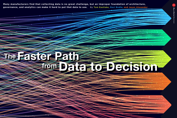**By Tom Eastlake, Ravi Bodla, and Jason Alexander governance, and analytics can make it hard to put that data to use. Many manufacturers find that collecting data is no great challenge, but an improper foundation of architecture,** 

# Data to Decision Faster Path from The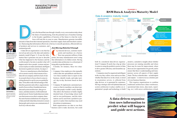# MANUFACTURING LEADERSHIP JOURNAL

f i g u r e 1 **RSM Data & Analytics Maturity Model**

### Data & analytics maturity model

Predictive Prescriptive Diagnostic m Descriptive ndustrials Why did it happen? What will honoey Intelligent decision making What hannened hine learning, Al NLP, etc. duction ML model apacity cognitive model **Lpowered asset mail** What-if analysis inodertate ten Maturity model modeling **INFP&A CPM** risk models<br>S&OP model lory forecast model Comprehensive<br>business analysis Operationa (self-service) reporting<br>(ad-hoc) Enterprise data management and governance Management reporting Financial reporting<br>Sustomer sales reporting Raw data Advanced analytics Business intelligence Business value

both be considered data-driven organizations? Company B surely has a leg up when it comes to using the predictive power of data to drive greater efficiency and streamline operations.

Companies must be organized and diligent in the way they collect, store and access data, whether that data lives in the cloud, is stored in on-premises servers, is collected from edge devices, or is generated by customers. Having a strategic and well-planned data and system architecture in place enables an organization's people and technology to build

iterative, cumulative insights about whether processes are running smoothly and where there may be room for improvement, where there are new opportunities for growth, and to ensure that there is understanding and transparency across all aspects of their supply chain. The key is that the data—as both inputs and outputs—is interwoven as a holistic part of every business function.

This requires organizations to combine traditional architectures (data warehouses, operational data stores, data marts, reporting, etc.) with newer architectures (cloud,

**A data-driven organization uses information to predict what will happen and guide next actions.**

.......................................................... .......................................................... .......................................................... .......................................................... .......................................................... .......................................................... .......................................................... ..........................................................



ata is the thread that runs through virtually every conversation today about<br>the future of manufacturing, from the potential uses of machine learning<br>to the broader capabilities of factories of the future to what the workthe future of manufacturing, from the potential uses of machine learning to the broader capabilities of factories of the future to what the workforce will look like in years to come. Manufacturers generate incredible

amounts of data from their internal operations, from their supply chain and from their customers. Harnessing that information effectively is the key to smooth operations, efficient delivery

of products and services to customers, and sustained growth. A data-driven organization is one that has

maturity model (Figure 1). It uses the information that it generates not just to describe what has happened in the business and the world around it, but also to predict what will happen and to have people, systems and processes in place to make automated, intelligent decisions to guide next actions. *See figure 1* However, manufacturers often find them-

**Jason Alexander** is a Principal and National Manufacturing Leader at RSM US LLP.



**Ravi Bodla** is a Director, West Region Leader, Data & Analytics at RSM US LLP.



**Tom Eastlake** is a Director, Southeast Region Leader, Data & Analytics at RSM US LLP.

selves unsure exactly what it means to be a data-driven company and feel a lack of clarity around where to focus when it comes to setting themselves up for success guided by data. To be able to take full advantage of the data they generate and collect, organizations need to focus on three foundational areas: data and system architecture, data governance, and data analytics, both traditional and advanced. Senior leadership must make sure that teams across their company share the same business definitions for categories of data and individual data elements to ensure that people and systems can communicate ef-

*Just Having Data Isn't Enough*

onnected devices, customer touch-<br>points and machines on a factory<br>floor may generate millions of data<br>points but many manufacturers aren't using points and machines on a factory floor may generate millions of data points, but many manufacturers aren't using that information to its fullest extent. Having a modern data architecture is a critical part of being able to put that data to use.

Consider, for instance, these two situations:

- Company A has employees who manually collect data into spreadsheets and then review those numbers later to report on the business, identify trends, and make tactical, day-to-day decisions based on their data.
- Company B implements automated processes so that its machines can detect patterns that people wouldn't easily identify. This allows the business to build a highly detailed body of knowledge about itself and its own performance, and this information can be used from a predictive perspective to plan when machines may need downtime or maintenance.

Both organizations use data to run their business and to make decisions, but could

moved up and across the data and analytics



fectively with one other.